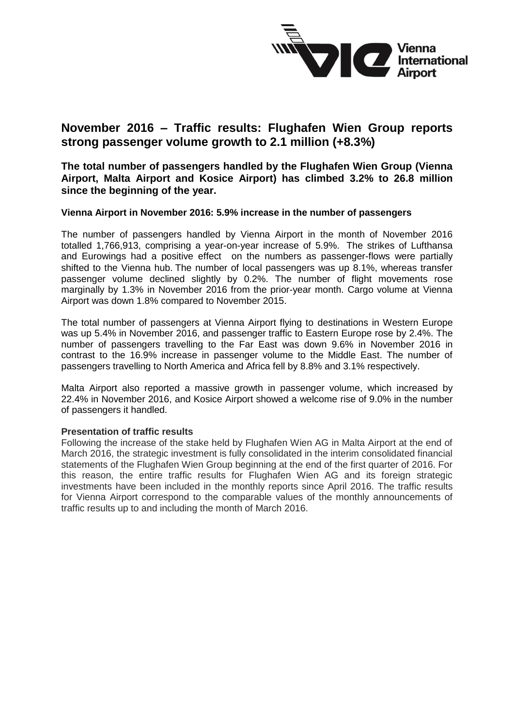

# **November 2016 – Traffic results: Flughafen Wien Group reports strong passenger volume growth to 2.1 million (+8.3%)**

**The total number of passengers handled by the Flughafen Wien Group (Vienna Airport, Malta Airport and Kosice Airport) has climbed 3.2% to 26.8 million since the beginning of the year.** 

#### **Vienna Airport in November 2016: 5.9% increase in the number of passengers**

The number of passengers handled by Vienna Airport in the month of November 2016 totalled 1,766,913, comprising a year-on-year increase of 5.9%. The strikes of Lufthansa and Eurowings had a positive effect on the numbers as passenger-flows were partially shifted to the Vienna hub. The number of local passengers was up 8.1%, whereas transfer passenger volume declined slightly by 0.2%. The number of flight movements rose marginally by 1.3% in November 2016 from the prior-year month. Cargo volume at Vienna Airport was down 1.8% compared to November 2015.

The total number of passengers at Vienna Airport flying to destinations in Western Europe was up 5.4% in November 2016, and passenger traffic to Eastern Europe rose by 2.4%. The number of passengers travelling to the Far East was down 9.6% in November 2016 in contrast to the 16.9% increase in passenger volume to the Middle East. The number of passengers travelling to North America and Africa fell by 8.8% and 3.1% respectively.

Malta Airport also reported a massive growth in passenger volume, which increased by 22.4% in November 2016, and Kosice Airport showed a welcome rise of 9.0% in the number of passengers it handled.

## **Presentation of traffic results**

Following the increase of the stake held by Flughafen Wien AG in Malta Airport at the end of March 2016, the strategic investment is fully consolidated in the interim consolidated financial statements of the Flughafen Wien Group beginning at the end of the first quarter of 2016. For this reason, the entire traffic results for Flughafen Wien AG and its foreign strategic investments have been included in the monthly reports since April 2016. The traffic results for Vienna Airport correspond to the comparable values of the monthly announcements of traffic results up to and including the month of March 2016.